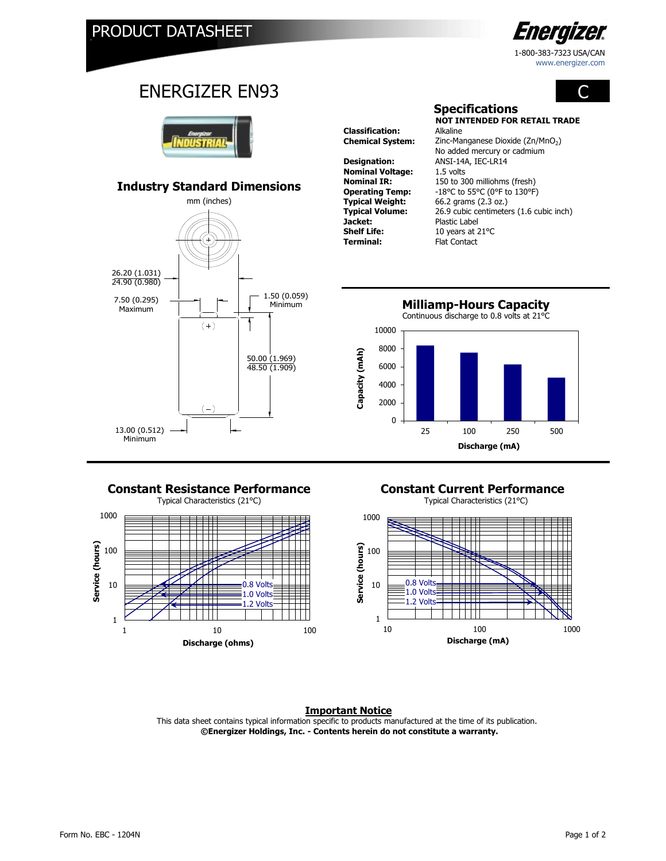

1-800-383-7323 USA/CAN www.energizer.com

# C

## ENERGIZER EN93



### **Industry Standard Dimensions**



**Classification: Designation:** ANSI-14A, IEC-LR14 **Nominal Voltage:** 1.5 volts<br>**Nominal IR:** 150 to 30 **Typical Weight:** 66.2 grams (2.3 oz.)<br>**Typical Volume:** 26.9 cubic centimete **Jacket:** Plastic Label<br> **Shelf Life:** 10 years at 2 **Shelf Life:** 10 years at 21°C<br> **Terminal:** Flat Contact

**NOT INTENDED FOR RETAIL TRADE Chemical System:** Zinc-Manganese Dioxide (Zn/MnO<sub>2</sub>) 150 to 300 milliohms (fresh) **Operating Temp:**  $-18^{\circ}$ C to 55°C (0°F to 130°F)<br>**Typical Weight:** 66.2 grams (2.3 oz.) **Typical Volume:** 26.9 cubic centimeters (1.6 cubic inch) **Flat Contact** No added mercury or cadmium

**Specifications**



#### **Constant Resistance Performance Constant Current Performance**

Typical Characteristics (21°C) Typical Characteristics (21°C)







#### **Important Notice**

 **©Energizer Holdings, Inc. - Contents herein do not constitute a warranty.** This data sheet contains typical information specific to products manufactured at the time of its publication.